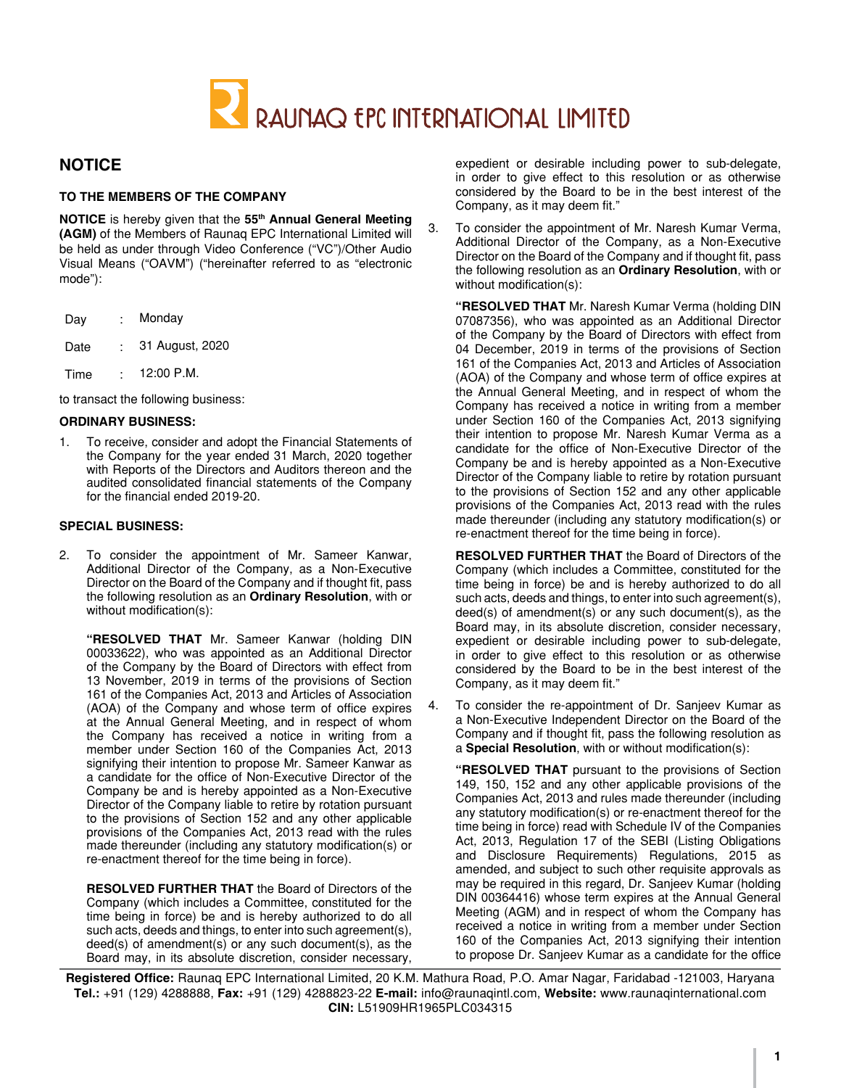

# **NOTICE**

## **TO THE MEMBERS OF THE COMPANY**

**NOTICE** is hereby given that the **55th Annual General Meeting (AGM)** of the Members of Raunaq EPC International Limited will be held as under through Video Conference ("VC")/Other Audio Visual Means ("OAVM") ("hereinafter referred to as "electronic mode"):

| Dav  | Monday          |  |  |
|------|-----------------|--|--|
| Date | 31 August, 2020 |  |  |
| Time | 12:00 P.M.      |  |  |

to transact the following business:

## **ORDINARY BUSINESS:**

1. To receive, consider and adopt the Financial Statements of the Company for the year ended 31 March, 2020 together with Reports of the Directors and Auditors thereon and the audited consolidated financial statements of the Company for the financial ended 2019-20.

## **SPECIAL BUSINESS:**

2. To consider the appointment of Mr. Sameer Kanwar, Additional Director of the Company, as a Non-Executive Director on the Board of the Company and if thought fit, pass the following resolution as an **Ordinary Resolution**, with or without modification(s):

**"RESOLVED THAT** Mr. Sameer Kanwar (holding DIN 00033622), who was appointed as an Additional Director of the Company by the Board of Directors with effect from 13 November, 2019 in terms of the provisions of Section 161 of the Companies Act, 2013 and Articles of Association (AOA) of the Company and whose term of office expires at the Annual General Meeting, and in respect of whom the Company has received a notice in writing from a member under Section 160 of the Companies Act, 2013 signifying their intention to propose Mr. Sameer Kanwar as a candidate for the office of Non-Executive Director of the Company be and is hereby appointed as a Non-Executive Director of the Company liable to retire by rotation pursuant to the provisions of Section 152 and any other applicable provisions of the Companies Act, 2013 read with the rules made thereunder (including any statutory modification(s) or re-enactment thereof for the time being in force).

**RESOLVED FURTHER THAT** the Board of Directors of the Company (which includes a Committee, constituted for the time being in force) be and is hereby authorized to do all such acts, deeds and things, to enter into such agreement(s), deed(s) of amendment(s) or any such document(s), as the Board may, in its absolute discretion, consider necessary,

expedient or desirable including power to sub-delegate, in order to give effect to this resolution or as otherwise considered by the Board to be in the best interest of the Company, as it may deem fit."

3. To consider the appointment of Mr. Naresh Kumar Verma, Additional Director of the Company, as a Non-Executive Director on the Board of the Company and if thought fit, pass the following resolution as an **Ordinary Resolution**, with or without modification(s):

**"RESOLVED THAT** Mr. Naresh Kumar Verma (holding DIN 07087356), who was appointed as an Additional Director of the Company by the Board of Directors with effect from 04 December, 2019 in terms of the provisions of Section 161 of the Companies Act, 2013 and Articles of Association (AOA) of the Company and whose term of office expires at the Annual General Meeting, and in respect of whom the Company has received a notice in writing from a member under Section 160 of the Companies Act, 2013 signifying their intention to propose Mr. Naresh Kumar Verma as a candidate for the office of Non-Executive Director of the Company be and is hereby appointed as a Non-Executive Director of the Company liable to retire by rotation pursuant to the provisions of Section 152 and any other applicable provisions of the Companies Act, 2013 read with the rules made thereunder (including any statutory modification(s) or re-enactment thereof for the time being in force).

**RESOLVED FURTHER THAT** the Board of Directors of the Company (which includes a Committee, constituted for the time being in force) be and is hereby authorized to do all such acts, deeds and things, to enter into such agreement(s), deed(s) of amendment(s) or any such document(s), as the Board may, in its absolute discretion, consider necessary, expedient or desirable including power to sub-delegate, in order to give effect to this resolution or as otherwise considered by the Board to be in the best interest of the Company, as it may deem fit."

4. To consider the re-appointment of Dr. Sanjeev Kumar as a Non-Executive Independent Director on the Board of the Company and if thought fit, pass the following resolution as a **Special Resolution**, with or without modification(s):

**"RESOLVED THAT** pursuant to the provisions of Section 149, 150, 152 and any other applicable provisions of the Companies Act, 2013 and rules made thereunder (including any statutory modification(s) or re-enactment thereof for the time being in force) read with Schedule IV of the Companies Act, 2013, Regulation 17 of the SEBI (Listing Obligations and Disclosure Requirements) Regulations, 2015 as amended, and subject to such other requisite approvals as may be required in this regard, Dr. Sanjeev Kumar (holding DIN 00364416) whose term expires at the Annual General Meeting (AGM) and in respect of whom the Company has received a notice in writing from a member under Section 160 of the Companies Act, 2013 signifying their intention to propose Dr. Sanjeev Kumar as a candidate for the office

**Registered Office:** Raunaq EPC International Limited, 20 K.M. Mathura Road, P.O. Amar Nagar, Faridabad -121003, Haryana **Tel.:** +91 (129) 4288888, **Fax:** +91 (129) 4288823-22 **E-mail:** info@raunaqintl.com, **Website:** www.raunaqinternational.com **CIN:** L51909HR1965PLC034315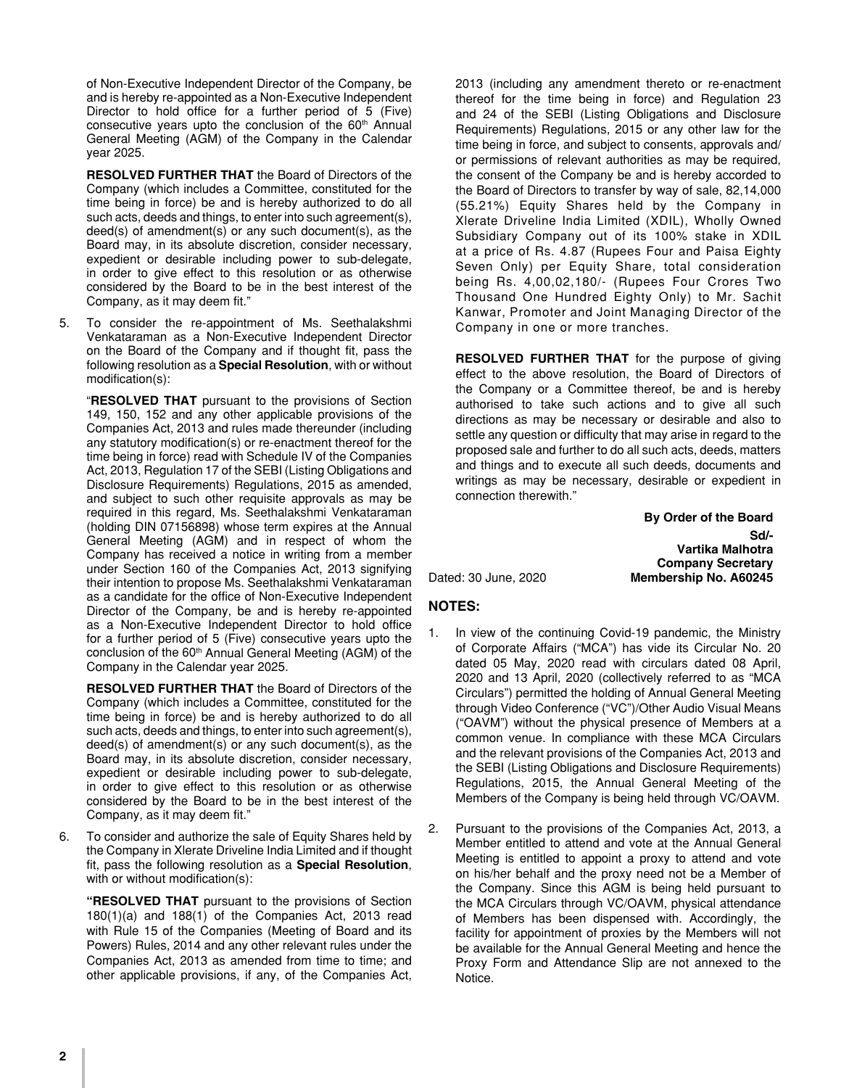of Non-Executive Independent Director of the Company, be and is hereby re-appointed as a Non-Executive Independent Director to hold office for a further period of 5 (Five) consecutive years upto the conclusion of the  $60<sup>th</sup>$  Annual General Meeting (AGM) of the Company in the Calendar year 2025.

**RESOLVED FURTHER THAT** the Board of Directors of the Company (which includes a Committee, constituted for the time being in force) be and is hereby authorized to do all such acts, deeds and things, to enter into such agreement(s), deed(s) of amendment(s) or any such document(s), as the Board may, in its absolute discretion, consider necessary, expedient or desirable including power to sub-delegate, in order to give effect to this resolution or as otherwise considered by the Board to be in the best interest of the Company, as it may deem fit."

5. To consider the re-appointment of Ms. Seethalakshmi Venkataraman as a Non-Executive Independent Director on the Board of the Company and if thought fit, pass the following resolution as a **Special Resolution**, with or without modification(s):

"**RESOLVED THAT** pursuant to the provisions of Section 149, 150, 152 and any other applicable provisions of the Companies Act, 2013 and rules made thereunder (including any statutory modification(s) or re-enactment thereof for the time being in force) read with Schedule IV of the Companies Act, 2013, Regulation 17 of the SEBI (Listing Obligations and Disclosure Requirements) Regulations, 2015 as amended, and subject to such other requisite approvals as may be required in this regard, Ms. Seethalakshmi Venkataraman (holding DIN 07156898) whose term expires at the Annual General Meeting (AGM) and in respect of whom the Company has received a notice in writing from a member under Section 160 of the Companies Act, 2013 signifying their intention to propose Ms. Seethalakshmi Venkataraman as a candidate for the office of Non-Executive Independent Director of the Company, be and is hereby re-appointed as a Non-Executive Independent Director to hold office for a further period of 5 (Five) consecutive years upto the conclusion of the 60<sup>th</sup> Annual General Meeting (AGM) of the Company in the Calendar year 2025.

**RESOLVED FURTHER THAT** the Board of Directors of the Company (which includes a Committee, constituted for the time being in force) be and is hereby authorized to do all such acts, deeds and things, to enter into such agreement(s), deed(s) of amendment(s) or any such document(s), as the Board may, in its absolute discretion, consider necessary, expedient or desirable including power to sub-delegate, in order to give effect to this resolution or as otherwise considered by the Board to be in the best interest of the Company, as it may deem fit."

6. To consider and authorize the sale of Equity Shares held by the Company in Xlerate Driveline India Limited and if thought fit, pass the following resolution as a **Special Resolution**, with or without modification(s):

**"RESOLVED THAT** pursuant to the provisions of Section 180(1)(a) and 188(1) of the Companies Act, 2013 read with Rule 15 of the Companies (Meeting of Board and its Powers) Rules, 2014 and any other relevant rules under the Companies Act, 2013 as amended from time to time; and other applicable provisions, if any, of the Companies Act,

2013 (including any amendment thereto or re-enactment thereof for the time being in force) and Regulation 23 and 24 of the SEBI (Listing Obligations and Disclosure Requirements) Regulations, 2015 or any other law for the time being in force, and subject to consents, approvals and/ or permissions of relevant authorities as may be required, the consent of the Company be and is hereby accorded to the Board of Directors to transfer by way of sale, 82,14,000 (55.21%) Equity Shares held by the Company in Xlerate Driveline India Limited (XDIL), Wholly Owned Subsidiary Company out of its 100% stake in XDIL at a price of Rs. 4.87 (Rupees Four and Paisa Eighty Seven Only) per Equity Share, total consideration being Rs. 4,00,02,180/- (Rupees Four Crores Two Thousand One Hundred Eighty Only) to Mr. Sachit Kanwar, Promoter and Joint Managing Director of the Company in one or more tranches.

**RESOLVED FURTHER THAT** for the purpose of giving effect to the above resolution, the Board of Directors of the Company or a Committee thereof, be and is hereby authorised to take such actions and to give all such directions as may be necessary or desirable and also to settle any question or difficulty that may arise in regard to the proposed sale and further to do all such acts, deeds, matters and things and to execute all such deeds, documents and writings as may be necessary, desirable or expedient in connection therewith."

 **By Order of the Board Sd/- Vartika Malhotra Company Secretary** Dated: 30 June, 2020 **Membership No. A60245**

## **NOTES:**

- 1. In view of the continuing Covid-19 pandemic, the Ministry of Corporate Affairs ("MCA") has vide its Circular No. 20 dated 05 May, 2020 read with circulars dated 08 April, 2020 and 13 April, 2020 (collectively referred to as "MCA Circulars") permitted the holding of Annual General Meeting through Video Conference ("VC")/Other Audio Visual Means ("OAVM") without the physical presence of Members at a common venue. In compliance with these MCA Circulars and the relevant provisions of the Companies Act, 2013 and the SEBI (Listing Obligations and Disclosure Requirements) Regulations, 2015, the Annual General Meeting of the Members of the Company is being held through VC/OAVM.
- 2. Pursuant to the provisions of the Companies Act, 2013, a Member entitled to attend and vote at the Annual General Meeting is entitled to appoint a proxy to attend and vote on his/her behalf and the proxy need not be a Member of the Company. Since this AGM is being held pursuant to the MCA Circulars through VC/OAVM, physical attendance of Members has been dispensed with. Accordingly, the facility for appointment of proxies by the Members will not be available for the Annual General Meeting and hence the Proxy Form and Attendance Slip are not annexed to the Notice.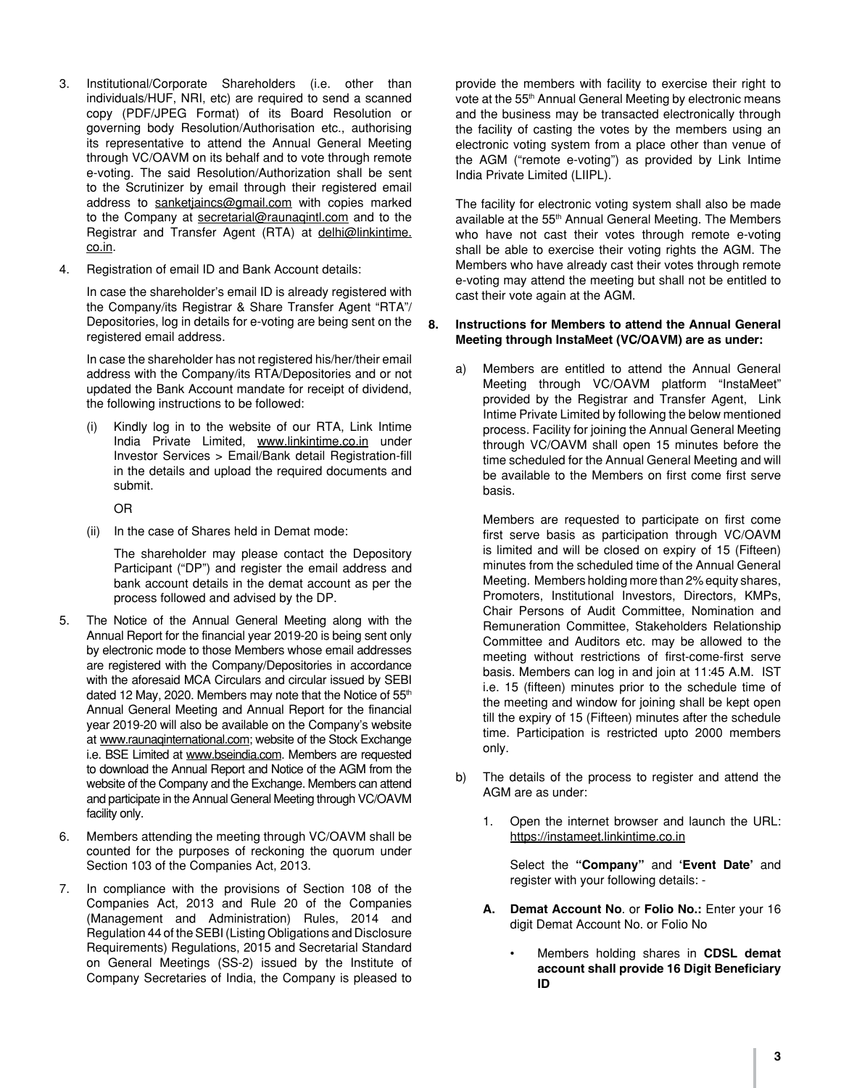- 3. Institutional/Corporate Shareholders (i.e. other than individuals/HUF, NRI, etc) are required to send a scanned copy (PDF/JPEG Format) of its Board Resolution or governing body Resolution/Authorisation etc., authorising its representative to attend the Annual General Meeting through VC/OAVM on its behalf and to vote through remote e-voting. The said Resolution/Authorization shall be sent to the Scrutinizer by email through their registered email address to sanketjaincs@gmail.com with copies marked to the Company at secretarial@raunaqintl.com and to the Registrar and Transfer Agent (RTA) at delhi@linkintime. co.in.
- 4. Registration of email ID and Bank Account details:

In case the shareholder's email ID is already registered with the Company/its Registrar & Share Transfer Agent "RTA"/ Depositories, log in details for e-voting are being sent on the registered email address.

In case the shareholder has not registered his/her/their email address with the Company/its RTA/Depositories and or not updated the Bank Account mandate for receipt of dividend, the following instructions to be followed:

(i) Kindly log in to the website of our RTA, Link Intime India Private Limited, www.linkintime.co.in under Investor Services > Email/Bank detail Registration-fill in the details and upload the required documents and submit.

OR

(ii) In the case of Shares held in Demat mode:

 The shareholder may please contact the Depository Participant ("DP") and register the email address and bank account details in the demat account as per the process followed and advised by the DP.

- 5. The Notice of the Annual General Meeting along with the Annual Report for the financial year 2019-20 is being sent only by electronic mode to those Members whose email addresses are registered with the Company/Depositories in accordance with the aforesaid MCA Circulars and circular issued by SEBI dated 12 May, 2020. Members may note that the Notice of 55<sup>th</sup> Annual General Meeting and Annual Report for the financial year 2019-20 will also be available on the Company's website at www.raunaqinternational.com; website of the Stock Exchange i.e. BSE Limited at www.bseindia.com. Members are requested to download the Annual Report and Notice of the AGM from the website of the Company and the Exchange. Members can attend and participate in the Annual General Meeting through VC/OAVM facility only.
- 6. Members attending the meeting through VC/OAVM shall be counted for the purposes of reckoning the quorum under Section 103 of the Companies Act, 2013.
- 7. In compliance with the provisions of Section 108 of the Companies Act, 2013 and Rule 20 of the Companies (Management and Administration) Rules, 2014 and Regulation 44 of the SEBI (Listing Obligations and Disclosure Requirements) Regulations, 2015 and Secretarial Standard on General Meetings (SS-2) issued by the Institute of Company Secretaries of India, the Company is pleased to

provide the members with facility to exercise their right to vote at the 55<sup>th</sup> Annual General Meeting by electronic means and the business may be transacted electronically through the facility of casting the votes by the members using an electronic voting system from a place other than venue of the AGM ("remote e-voting") as provided by Link Intime India Private Limited (LIIPL).

The facility for electronic voting system shall also be made available at the 55<sup>th</sup> Annual General Meeting. The Members who have not cast their votes through remote e-voting shall be able to exercise their voting rights the AGM. The Members who have already cast their votes through remote e-voting may attend the meeting but shall not be entitled to cast their vote again at the AGM.

## **8. Instructions for Members to attend the Annual General Meeting through InstaMeet (VC/OAVM) are as under:**

a) Members are entitled to attend the Annual General Meeting through VC/OAVM platform "InstaMeet" provided by the Registrar and Transfer Agent, Link Intime Private Limited by following the below mentioned process. Facility for joining the Annual General Meeting through VC/OAVM shall open 15 minutes before the time scheduled for the Annual General Meeting and will be available to the Members on first come first serve basis.

 Members are requested to participate on first come first serve basis as participation through VC/OAVM is limited and will be closed on expiry of 15 (Fifteen) minutes from the scheduled time of the Annual General Meeting. Members holding more than 2% equity shares, Promoters, Institutional Investors, Directors, KMPs, Chair Persons of Audit Committee, Nomination and Remuneration Committee, Stakeholders Relationship Committee and Auditors etc. may be allowed to the meeting without restrictions of first-come-first serve basis. Members can log in and join at 11:45 A.M. IST i.e. 15 (fifteen) minutes prior to the schedule time of the meeting and window for joining shall be kept open till the expiry of 15 (Fifteen) minutes after the schedule time. Participation is restricted upto 2000 members only.

- b) The details of the process to register and attend the AGM are as under:
	- 1. Open the internet browser and launch the URL: https://instameet.linkintime.co.in

 Select the **"Company"** and **'Event Date'** and register with your following details: -

- **A. Demat Account No**. or **Folio No.:** Enter your 16 digit Demat Account No. or Folio No
	- Members holding shares in **CDSL demat account shall provide 16 Digit Beneficiary ID**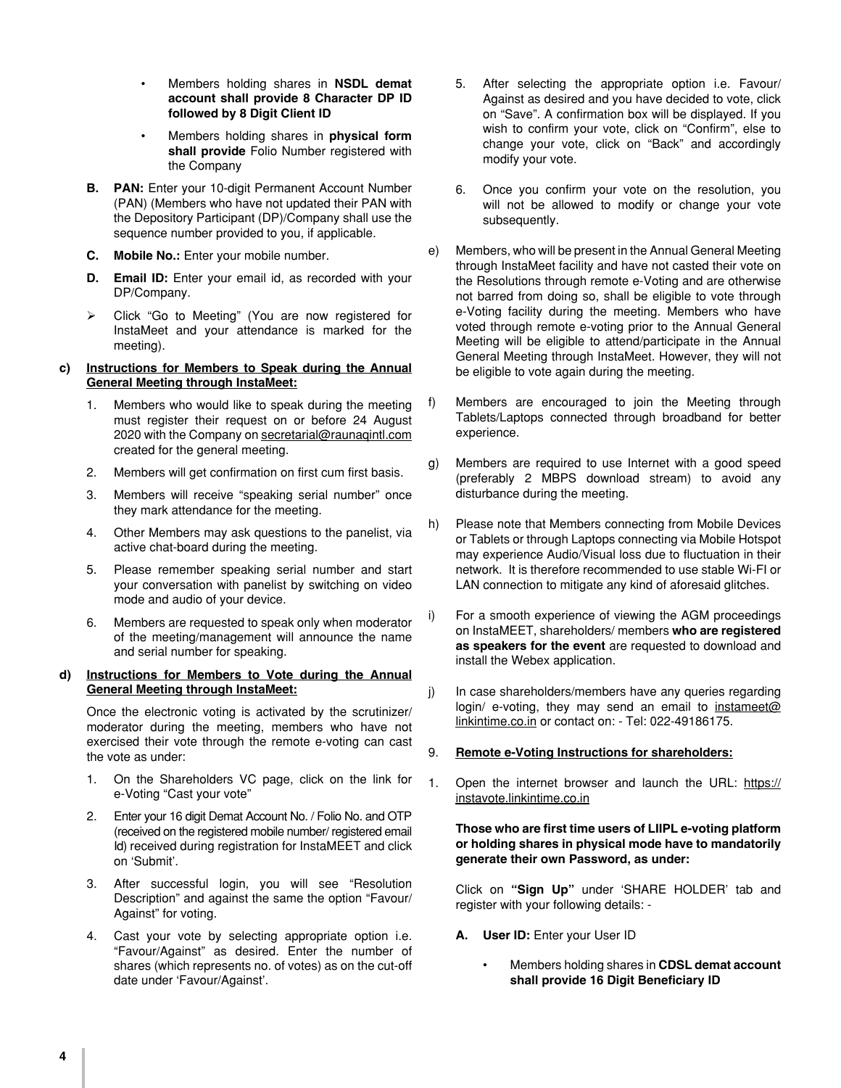- Members holding shares in **NSDL demat account shall provide 8 Character DP ID followed by 8 Digit Client ID**
- • Members holding shares in **physical form shall provide** Folio Number registered with the Company
- **B. PAN:** Enter your 10-digit Permanent Account Number (PAN) (Members who have not updated their PAN with the Depository Participant (DP)/Company shall use the sequence number provided to you, if applicable.
- **C. Mobile No.:** Enter your mobile number.
- **D. Email ID:** Enter your email id, as recorded with your DP/Company.
- Click "Go to Meeting" (You are now registered for InstaMeet and your attendance is marked for the meeting).

## **c) Instructions for Members to Speak during the Annual General Meeting through InstaMeet:**

- 1. Members who would like to speak during the meeting must register their request on or before 24 August 2020 with the Company on secretarial@raunaqintl.com created for the general meeting.
- 2. Members will get confirmation on first cum first basis.
- 3. Members will receive "speaking serial number" once they mark attendance for the meeting.
- 4. Other Members may ask questions to the panelist, via active chat-board during the meeting.
- 5. Please remember speaking serial number and start your conversation with panelist by switching on video mode and audio of your device.
- 6. Members are requested to speak only when moderator of the meeting/management will announce the name and serial number for speaking.

## **d) Instructions for Members to Vote during the Annual General Meeting through InstaMeet:**

Once the electronic voting is activated by the scrutinizer/ moderator during the meeting, members who have not exercised their vote through the remote e-voting can cast the vote as under:

- 1. On the Shareholders VC page, click on the link for e-Voting "Cast your vote"
- 2. Enter your 16 digit Demat Account No. / Folio No. and OTP (received on the registered mobile number/ registered email Id) received during registration for InstaMEET and click on 'Submit'.
- 3. After successful login, you will see "Resolution Description" and against the same the option "Favour/ Against" for voting.
- 4. Cast your vote by selecting appropriate option i.e. "Favour/Against" as desired. Enter the number of shares (which represents no. of votes) as on the cut-off date under 'Favour/Against'.
- 5. After selecting the appropriate option i.e. Favour/ Against as desired and you have decided to vote, click on "Save". A confirmation box will be displayed. If you wish to confirm your vote, click on "Confirm", else to change your vote, click on "Back" and accordingly modify your vote.
- 6. Once you confirm your vote on the resolution, you will not be allowed to modify or change your vote subsequently.
- e) Members, who will be present in the Annual General Meeting through InstaMeet facility and have not casted their vote on the Resolutions through remote e-Voting and are otherwise not barred from doing so, shall be eligible to vote through e-Voting facility during the meeting. Members who have voted through remote e-voting prior to the Annual General Meeting will be eligible to attend/participate in the Annual General Meeting through InstaMeet. However, they will not be eligible to vote again during the meeting.
- f) Members are encouraged to join the Meeting through Tablets/Laptops connected through broadband for better experience.
- g) Members are required to use Internet with a good speed (preferably 2 MBPS download stream) to avoid any disturbance during the meeting.
- h) Please note that Members connecting from Mobile Devices or Tablets or through Laptops connecting via Mobile Hotspot may experience Audio/Visual loss due to fluctuation in their network. It is therefore recommended to use stable Wi-FI or LAN connection to mitigate any kind of aforesaid glitches.
- i) For a smooth experience of viewing the AGM proceedings on InstaMEET, shareholders/ members **who are registered as speakers for the event** are requested to download and install the Webex application.
- j) In case shareholders/members have any queries regarding login/ e-voting, they may send an email to instameet@ linkintime.co.in or contact on: - Tel: 022-49186175.
- 9. **Remote e-Voting Instructions for shareholders:**
- 1. Open the internet browser and launch the URL: https:// instavote.linkintime.co.in

## **Those who are first time users of LIIPL e-voting platform or holding shares in physical mode have to mandatorily generate their own Password, as under:**

Click on **"Sign Up"** under 'SHARE HOLDER' tab and register with your following details: -

- **A. User ID:** Enter your User ID
	- **Members holding shares in CDSL demat account shall provide 16 Digit Beneficiary ID**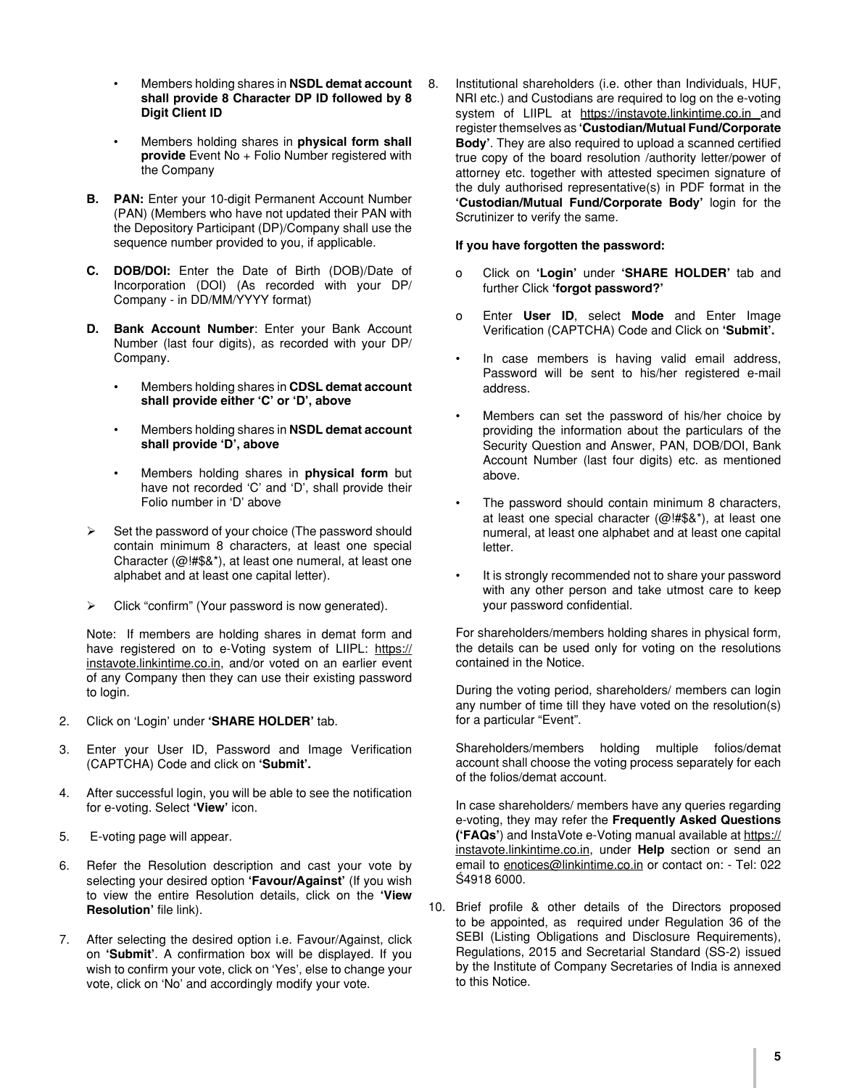- **Members holding shares in NSDL demat account shall provide 8 Character DP ID followed by 8 Digit Client ID**
- Members holding shares in **physical form shall provide** Event No + Folio Number registered with the Company
- **B. PAN:** Enter your 10-digit Permanent Account Number (PAN) (Members who have not updated their PAN with the Depository Participant (DP)/Company shall use the sequence number provided to you, if applicable.
- **C. DOB/DOI:** Enter the Date of Birth (DOB)/Date of Incorporation (DOI) (As recorded with your DP/ Company - in DD/MM/YYYY format)
- **D. Bank Account Number**: Enter your Bank Account Number (last four digits), as recorded with your DP/ Company.
	- Members holding shares in **CDSL demat account shall provide either 'C' or 'D', above**
	- **Members holding shares in NSDL demat account shall provide 'D', above**
	- Members holding shares in **physical form** but have not recorded 'C' and 'D', shall provide their Folio number in 'D' above
- $\triangleright$  Set the password of your choice (The password should contain minimum 8 characters, at least one special Character (@!#\$&\*), at least one numeral, at least one alphabet and at least one capital letter).
- $\triangleright$  Click "confirm" (Your password is now generated).

Note: If members are holding shares in demat form and have registered on to e-Voting system of LIIPL: https:// instavote.linkintime.co.in, and/or voted on an earlier event of any Company then they can use their existing password to login.

- 2. Click on 'Login' under **'SHARE HOLDER'** tab.
- 3. Enter your User ID, Password and Image Verification (CAPTCHA) Code and click on **'Submit'.**
- 4. After successful login, you will be able to see the notification for e-voting. Select **'View'** icon.
- 5. E-voting page will appear.
- 6. Refer the Resolution description and cast your vote by selecting your desired option **'Favour/Against'** (If you wish to view the entire Resolution details, click on the **'View Resolution'** file link).
- 7. After selecting the desired option i.e. Favour/Against, click on **'Submit'**. A confirmation box will be displayed. If you wish to confirm your vote, click on 'Yes', else to change your vote, click on 'No' and accordingly modify your vote.

8. Institutional shareholders (i.e. other than Individuals, HUF, NRI etc.) and Custodians are required to log on the e-voting system of LIIPL at https://instavote.linkintime.co.in and register themselves as **'Custodian/Mutual Fund/Corporate Body'**. They are also required to upload a scanned certified true copy of the board resolution /authority letter/power of attorney etc. together with attested specimen signature of the duly authorised representative(s) in PDF format in the **'Custodian/Mutual Fund/Corporate Body'** login for the Scrutinizer to verify the same.

## **If you have forgotten the password:**

- o Click on **'Login'** under **'SHARE HOLDER'** tab and further Click **'forgot password?'**
- o Enter **User ID**, select **Mode** and Enter Image Verification (CAPTCHA) Code and Click on **'Submit'.**
- In case members is having valid email address, Password will be sent to his/her registered e-mail address.
- Members can set the password of his/her choice by providing the information about the particulars of the Security Question and Answer, PAN, DOB/DOI, Bank Account Number (last four digits) etc. as mentioned above.
- The password should contain minimum 8 characters, at least one special character  $(Q)$ !#\$&\*), at least one numeral, at least one alphabet and at least one capital letter.
- It is strongly recommended not to share your password with any other person and take utmost care to keep your password confidential.

For shareholders/members holding shares in physical form, the details can be used only for voting on the resolutions contained in the Notice.

During the voting period, shareholders/ members can login any number of time till they have voted on the resolution(s) for a particular "Event".

Shareholders/members holding multiple folios/demat account shall choose the voting process separately for each of the folios/demat account.

In case shareholders/ members have any queries regarding e-voting, they may refer the **Frequently Asked Questions ('FAQs'**) and InstaVote e-Voting manual available at https:// instavote.linkintime.co.in, under **Help** section or send an email to enotices@linkintime.co.in or contact on: - Tel: 022 –4918 6000.

10. Brief profile & other details of the Directors proposed to be appointed, as required under Regulation 36 of the SEBI (Listing Obligations and Disclosure Requirements), Regulations, 2015 and Secretarial Standard (SS-2) issued by the Institute of Company Secretaries of India is annexed to this Notice.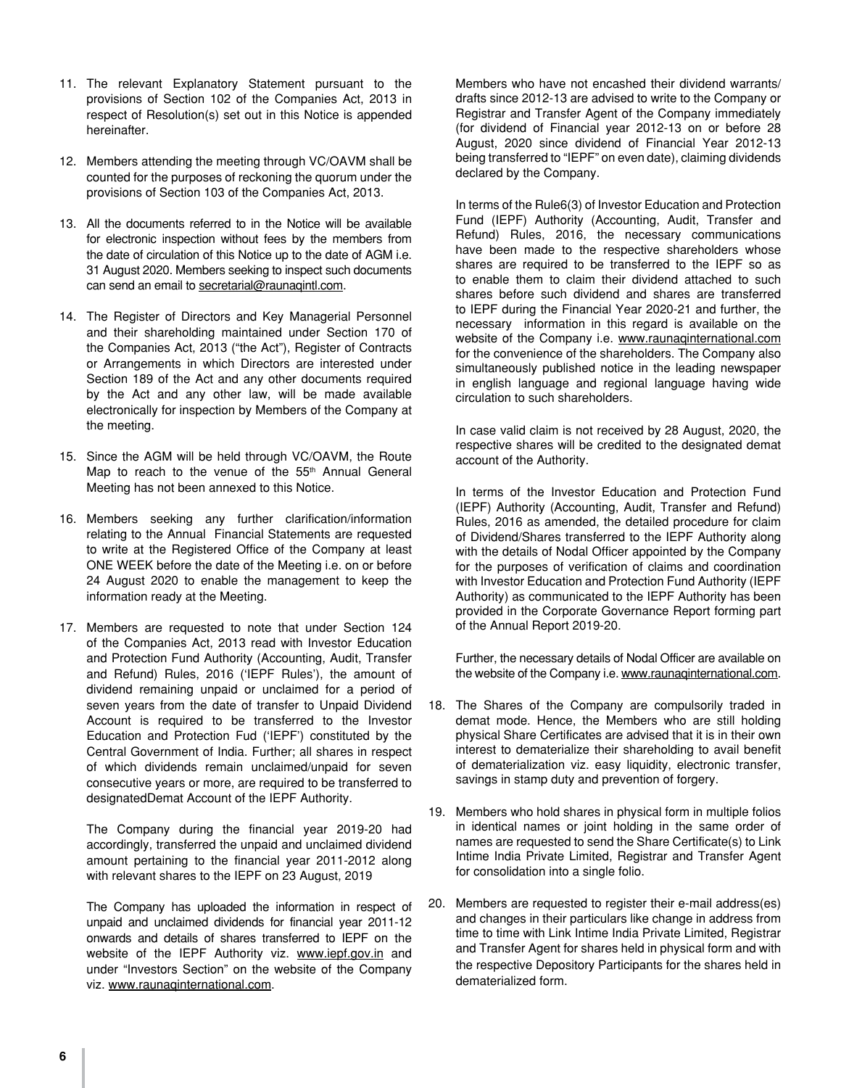- 11. The relevant Explanatory Statement pursuant to the provisions of Section 102 of the Companies Act, 2013 in respect of Resolution(s) set out in this Notice is appended hereinafter.
- 12. Members attending the meeting through VC/OAVM shall be counted for the purposes of reckoning the quorum under the provisions of Section 103 of the Companies Act, 2013.
- 13. All the documents referred to in the Notice will be available for electronic inspection without fees by the members from the date of circulation of this Notice up to the date of AGM i.e. 31 August 2020. Members seeking to inspect such documents can send an email to secretarial@raunaqintl.com.
- 14. The Register of Directors and Key Managerial Personnel and their shareholding maintained under Section 170 of the Companies Act, 2013 ("the Act"), Register of Contracts or Arrangements in which Directors are interested under Section 189 of the Act and any other documents required by the Act and any other law, will be made available electronically for inspection by Members of the Company at the meeting.
- 15. Since the AGM will be held through VC/OAVM, the Route Map to reach to the venue of the 55<sup>th</sup> Annual General Meeting has not been annexed to this Notice.
- 16. Members seeking any further clarification/information relating to the Annual Financial Statements are requested to write at the Registered Office of the Company at least ONE WEEK before the date of the Meeting i.e. on or before 24 August 2020 to enable the management to keep the information ready at the Meeting.
- 17. Members are requested to note that under Section 124 of the Companies Act, 2013 read with Investor Education and Protection Fund Authority (Accounting, Audit, Transfer and Refund) Rules, 2016 ('IEPF Rules'), the amount of dividend remaining unpaid or unclaimed for a period of seven years from the date of transfer to Unpaid Dividend Account is required to be transferred to the Investor Education and Protection Fud ('IEPF') constituted by the Central Government of India. Further; all shares in respect of which dividends remain unclaimed/unpaid for seven consecutive years or more, are required to be transferred to designatedDemat Account of the IEPF Authority.

The Company during the financial year 2019-20 had accordingly, transferred the unpaid and unclaimed dividend amount pertaining to the financial year 2011-2012 along with relevant shares to the IEPF on 23 August, 2019

The Company has uploaded the information in respect of unpaid and unclaimed dividends for financial year 2011-12 onwards and details of shares transferred to IEPF on the website of the IEPF Authority viz. www.iepf.gov.in and under "Investors Section" on the website of the Company viz. www.raunaqinternational.com.

Members who have not encashed their dividend warrants/ drafts since 2012-13 are advised to write to the Company or Registrar and Transfer Agent of the Company immediately (for dividend of Financial year 2012-13 on or before 28 August, 2020 since dividend of Financial Year 2012-13 being transferred to "IEPF" on even date), claiming dividends declared by the Company.

In terms of the Rule6(3) of Investor Education and Protection Fund (IEPF) Authority (Accounting, Audit, Transfer and Refund) Rules, 2016, the necessary communications have been made to the respective shareholders whose shares are required to be transferred to the IEPF so as to enable them to claim their dividend attached to such shares before such dividend and shares are transferred to IEPF during the Financial Year 2020-21 and further, the necessary information in this regard is available on the website of the Company i.e. www.raunaqinternational.com for the convenience of the shareholders. The Company also simultaneously published notice in the leading newspaper in english language and regional language having wide circulation to such shareholders.

In case valid claim is not received by 28 August, 2020, the respective shares will be credited to the designated demat account of the Authority.

In terms of the Investor Education and Protection Fund (IEPF) Authority (Accounting, Audit, Transfer and Refund) Rules, 2016 as amended, the detailed procedure for claim of Dividend/Shares transferred to the IEPF Authority along with the details of Nodal Officer appointed by the Company for the purposes of verification of claims and coordination with Investor Education and Protection Fund Authority (IEPF Authority) as communicated to the IEPF Authority has been provided in the Corporate Governance Report forming part of the Annual Report 2019-20.

Further, the necessary details of Nodal Officer are available on the website of the Company i.e. www.raunaqinternational.com.

- 18. The Shares of the Company are compulsorily traded in demat mode. Hence, the Members who are still holding physical Share Certificates are advised that it is in their own interest to dematerialize their shareholding to avail benefit of dematerialization viz. easy liquidity, electronic transfer, savings in stamp duty and prevention of forgery.
- 19. Members who hold shares in physical form in multiple folios in identical names or joint holding in the same order of names are requested to send the Share Certificate(s) to Link Intime India Private Limited, Registrar and Transfer Agent for consolidation into a single folio.
- 20. Members are requested to register their e-mail address(es) and changes in their particulars like change in address from time to time with Link Intime India Private Limited, Registrar and Transfer Agent for shares held in physical form and with the respective Depository Participants for the shares held in dematerialized form.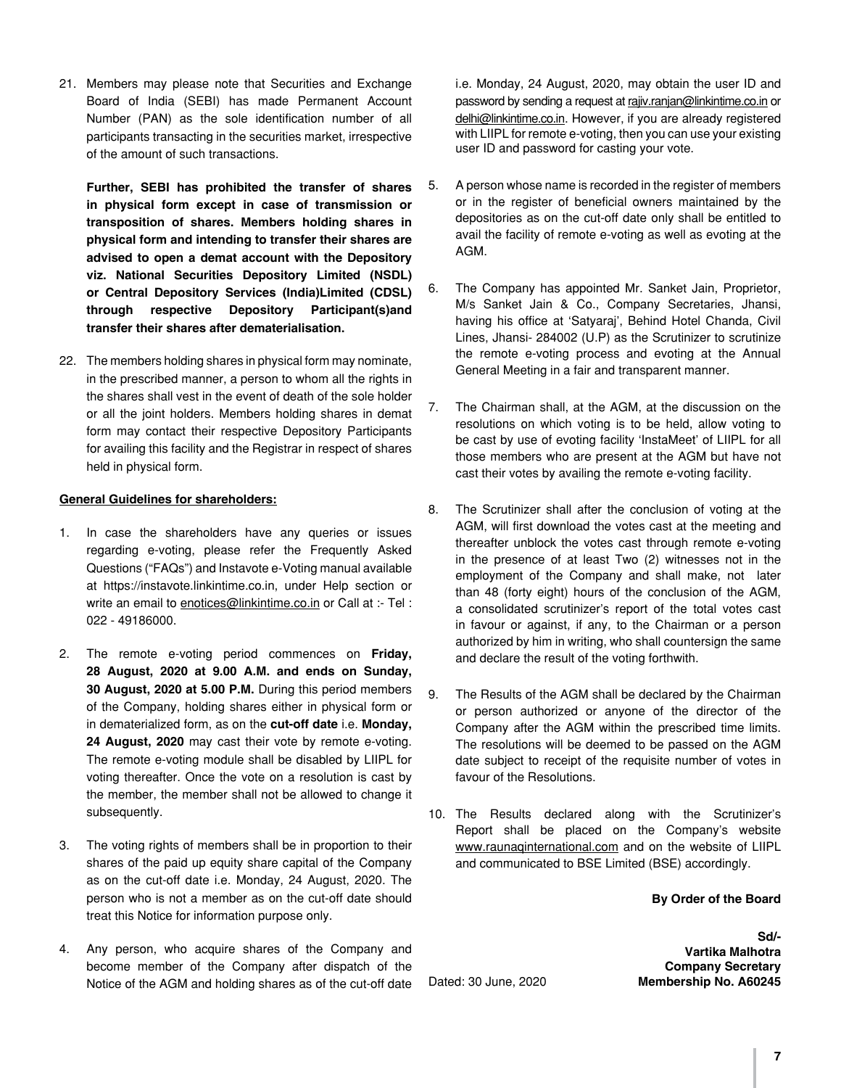21. Members may please note that Securities and Exchange Board of India (SEBI) has made Permanent Account Number (PAN) as the sole identification number of all participants transacting in the securities market, irrespective of the amount of such transactions.

**Further, SEBI has prohibited the transfer of shares in physical form except in case of transmission or transposition of shares. Members holding shares in physical form and intending to transfer their shares are advised to open a demat account with the Depository viz. National Securities Depository Limited (NSDL) or Central Depository Services (India)Limited (CDSL) through respective Depository Participant(s)and transfer their shares after dematerialisation.**

22. The members holding shares in physical form may nominate, in the prescribed manner, a person to whom all the rights in the shares shall vest in the event of death of the sole holder or all the joint holders. Members holding shares in demat form may contact their respective Depository Participants for availing this facility and the Registrar in respect of shares held in physical form.

## **General Guidelines for shareholders:**

- 1. In case the shareholders have any queries or issues regarding e-voting, please refer the Frequently Asked Questions ("FAQs") and Instavote e-Voting manual available at https://instavote.linkintime.co.in, under Help section or write an email to enotices@linkintime.co.in or Call at :- Tel : 022 - 49186000.
- 2. The remote e-voting period commences on **Friday, 28 August, 2020 at 9.00 A.M. and ends on Sunday, 30 August, 2020 at 5.00 P.M.** During this period members of the Company, holding shares either in physical form or in dematerialized form, as on the **cut-off date** i.e. **Monday, 24 August, 2020** may cast their vote by remote e-voting. The remote e-voting module shall be disabled by LIIPL for voting thereafter. Once the vote on a resolution is cast by the member, the member shall not be allowed to change it subsequently.
- 3. The voting rights of members shall be in proportion to their shares of the paid up equity share capital of the Company as on the cut-off date i.e. Monday, 24 August, 2020. The person who is not a member as on the cut-off date should treat this Notice for information purpose only.
- 4. Any person, who acquire shares of the Company and become member of the Company after dispatch of the Notice of the AGM and holding shares as of the cut-off date

i.e. Monday, 24 August, 2020, may obtain the user ID and password by sending a request at rajiv.ranjan@linkintime.co.in or delhi@linkintime.co.in. However, if you are already registered with LIIPL for remote e-voting, then you can use your existing user ID and password for casting your vote.

- 5. A person whose name is recorded in the register of members or in the register of beneficial owners maintained by the depositories as on the cut-off date only shall be entitled to avail the facility of remote e-voting as well as evoting at the AGM.
- 6. The Company has appointed Mr. Sanket Jain, Proprietor, M/s Sanket Jain & Co., Company Secretaries, Jhansi, having his office at 'Satyaraj', Behind Hotel Chanda, Civil Lines, Jhansi- 284002 (U.P) as the Scrutinizer to scrutinize the remote e-voting process and evoting at the Annual General Meeting in a fair and transparent manner.
- 7. The Chairman shall, at the AGM, at the discussion on the resolutions on which voting is to be held, allow voting to be cast by use of evoting facility 'InstaMeet' of LIIPL for all those members who are present at the AGM but have not cast their votes by availing the remote e-voting facility.
- 8. The Scrutinizer shall after the conclusion of voting at the AGM, will first download the votes cast at the meeting and thereafter unblock the votes cast through remote e-voting in the presence of at least Two (2) witnesses not in the employment of the Company and shall make, not later than 48 (forty eight) hours of the conclusion of the AGM, a consolidated scrutinizer's report of the total votes cast in favour or against, if any, to the Chairman or a person authorized by him in writing, who shall countersign the same and declare the result of the voting forthwith.
- 9. The Results of the AGM shall be declared by the Chairman or person authorized or anyone of the director of the Company after the AGM within the prescribed time limits. The resolutions will be deemed to be passed on the AGM date subject to receipt of the requisite number of votes in favour of the Resolutions.
- 10. The Results declared along with the Scrutinizer's Report shall be placed on the Company's website www.raunaqinternational.com and on the website of LIIPL and communicated to BSE Limited (BSE) accordingly.

## **By Order of the Board**

**Sd/- Vartika Malhotra Company Secretary** Dated: 30 June, 2020 **Membership No. A60245**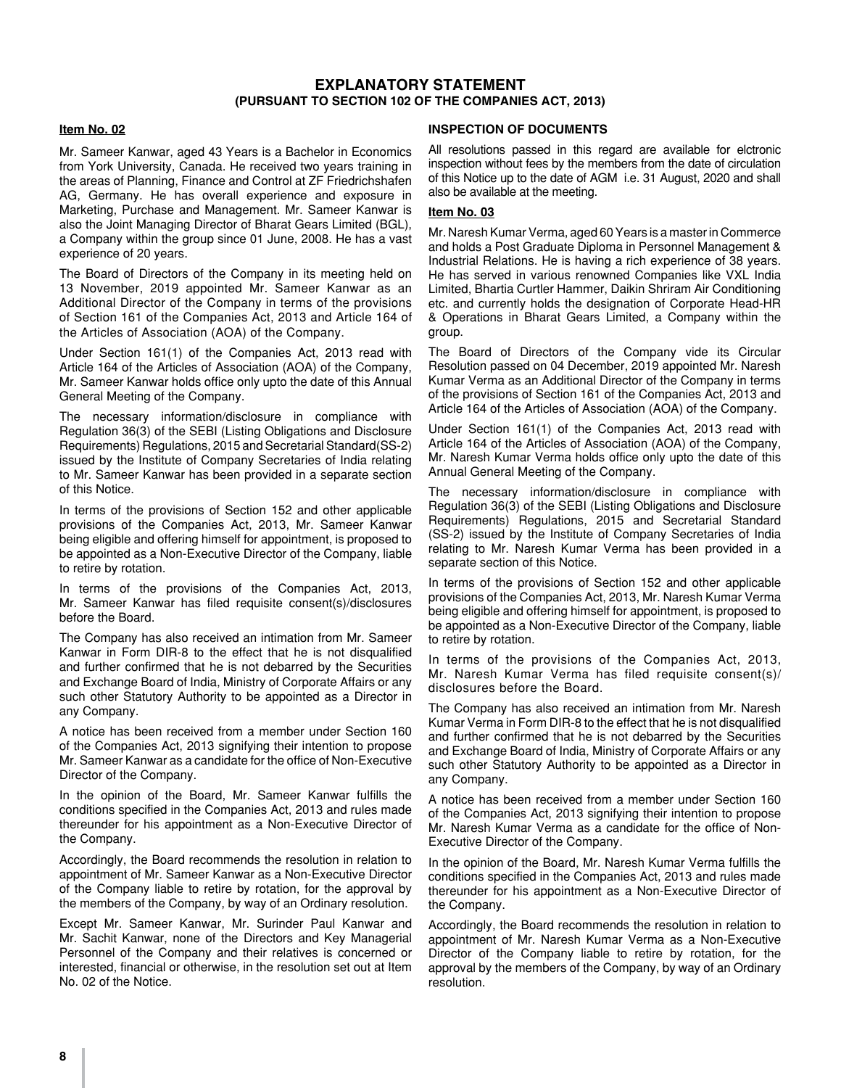## **EXPLANATORY STATEMENT (PURSUANT TO SECTION 102 OF THE COMPANIES ACT, 2013)**

#### **Item No. 02**

Mr. Sameer Kanwar, aged 43 Years is a Bachelor in Economics from York University, Canada. He received two years training in the areas of Planning, Finance and Control at ZF Friedrichshafen AG, Germany. He has overall experience and exposure in Marketing, Purchase and Management. Mr. Sameer Kanwar is also the Joint Managing Director of Bharat Gears Limited (BGL), a Company within the group since 01 June, 2008. He has a vast experience of 20 years.

The Board of Directors of the Company in its meeting held on 13 November, 2019 appointed Mr. Sameer Kanwar as an Additional Director of the Company in terms of the provisions of Section 161 of the Companies Act, 2013 and Article 164 of the Articles of Association (AOA) of the Company.

Under Section 161(1) of the Companies Act, 2013 read with Article 164 of the Articles of Association (AOA) of the Company, Mr. Sameer Kanwar holds office only upto the date of this Annual General Meeting of the Company.

The necessary information/disclosure in compliance with Regulation 36(3) of the SEBI (Listing Obligations and Disclosure Requirements) Regulations, 2015 and Secretarial Standard(SS-2) issued by the Institute of Company Secretaries of India relating to Mr. Sameer Kanwar has been provided in a separate section of this Notice.

In terms of the provisions of Section 152 and other applicable provisions of the Companies Act, 2013, Mr. Sameer Kanwar being eligible and offering himself for appointment, is proposed to be appointed as a Non-Executive Director of the Company, liable to retire by rotation.

In terms of the provisions of the Companies Act, 2013, Mr. Sameer Kanwar has filed requisite consent(s)/disclosures before the Board.

The Company has also received an intimation from Mr. Sameer Kanwar in Form DIR-8 to the effect that he is not disqualified and further confirmed that he is not debarred by the Securities and Exchange Board of India, Ministry of Corporate Affairs or any such other Statutory Authority to be appointed as a Director in any Company.

A notice has been received from a member under Section 160 of the Companies Act, 2013 signifying their intention to propose Mr. Sameer Kanwar as a candidate for the office of Non-Executive Director of the Company.

In the opinion of the Board, Mr. Sameer Kanwar fulfills the conditions specified in the Companies Act, 2013 and rules made thereunder for his appointment as a Non-Executive Director of the Company.

Accordingly, the Board recommends the resolution in relation to appointment of Mr. Sameer Kanwar as a Non-Executive Director of the Company liable to retire by rotation, for the approval by the members of the Company, by way of an Ordinary resolution.

Except Mr. Sameer Kanwar, Mr. Surinder Paul Kanwar and Mr. Sachit Kanwar, none of the Directors and Key Managerial Personnel of the Company and their relatives is concerned or interested, financial or otherwise, in the resolution set out at Item No. 02 of the Notice.

#### **INSPECTION OF DOCUMENTS**

All resolutions passed in this regard are available for elctronic inspection without fees by the members from the date of circulation of this Notice up to the date of AGM i.e. 31 August, 2020 and shall also be available at the meeting.

#### **Item No. 03**

Mr. Naresh Kumar Verma, aged 60 Years is a master in Commerce and holds a Post Graduate Diploma in Personnel Management & Industrial Relations. He is having a rich experience of 38 years. He has served in various renowned Companies like VXL India Limited, Bhartia Curtler Hammer, Daikin Shriram Air Conditioning etc. and currently holds the designation of Corporate Head-HR & Operations in Bharat Gears Limited, a Company within the group.

The Board of Directors of the Company vide its Circular Resolution passed on 04 December, 2019 appointed Mr. Naresh Kumar Verma as an Additional Director of the Company in terms of the provisions of Section 161 of the Companies Act, 2013 and Article 164 of the Articles of Association (AOA) of the Company.

Under Section 161(1) of the Companies Act, 2013 read with Article 164 of the Articles of Association (AOA) of the Company, Mr. Naresh Kumar Verma holds office only upto the date of this Annual General Meeting of the Company.

The necessary information/disclosure in compliance with Regulation 36(3) of the SEBI (Listing Obligations and Disclosure Requirements) Regulations, 2015 and Secretarial Standard (SS-2) issued by the Institute of Company Secretaries of India relating to Mr. Naresh Kumar Verma has been provided in a separate section of this Notice.

In terms of the provisions of Section 152 and other applicable provisions of the Companies Act, 2013, Mr. Naresh Kumar Verma being eligible and offering himself for appointment, is proposed to be appointed as a Non-Executive Director of the Company, liable to retire by rotation.

In terms of the provisions of the Companies Act, 2013, Mr. Naresh Kumar Verma has filed requisite consent(s)/ disclosures before the Board.

The Company has also received an intimation from Mr. Naresh Kumar Verma in Form DIR-8 to the effect that he is not disqualified and further confirmed that he is not debarred by the Securities and Exchange Board of India, Ministry of Corporate Affairs or any such other Statutory Authority to be appointed as a Director in any Company.

A notice has been received from a member under Section 160 of the Companies Act, 2013 signifying their intention to propose Mr. Naresh Kumar Verma as a candidate for the office of Non-Executive Director of the Company.

In the opinion of the Board, Mr. Naresh Kumar Verma fulfills the conditions specified in the Companies Act, 2013 and rules made thereunder for his appointment as a Non-Executive Director of the Company.

Accordingly, the Board recommends the resolution in relation to appointment of Mr. Naresh Kumar Verma as a Non-Executive Director of the Company liable to retire by rotation, for the approval by the members of the Company, by way of an Ordinary resolution.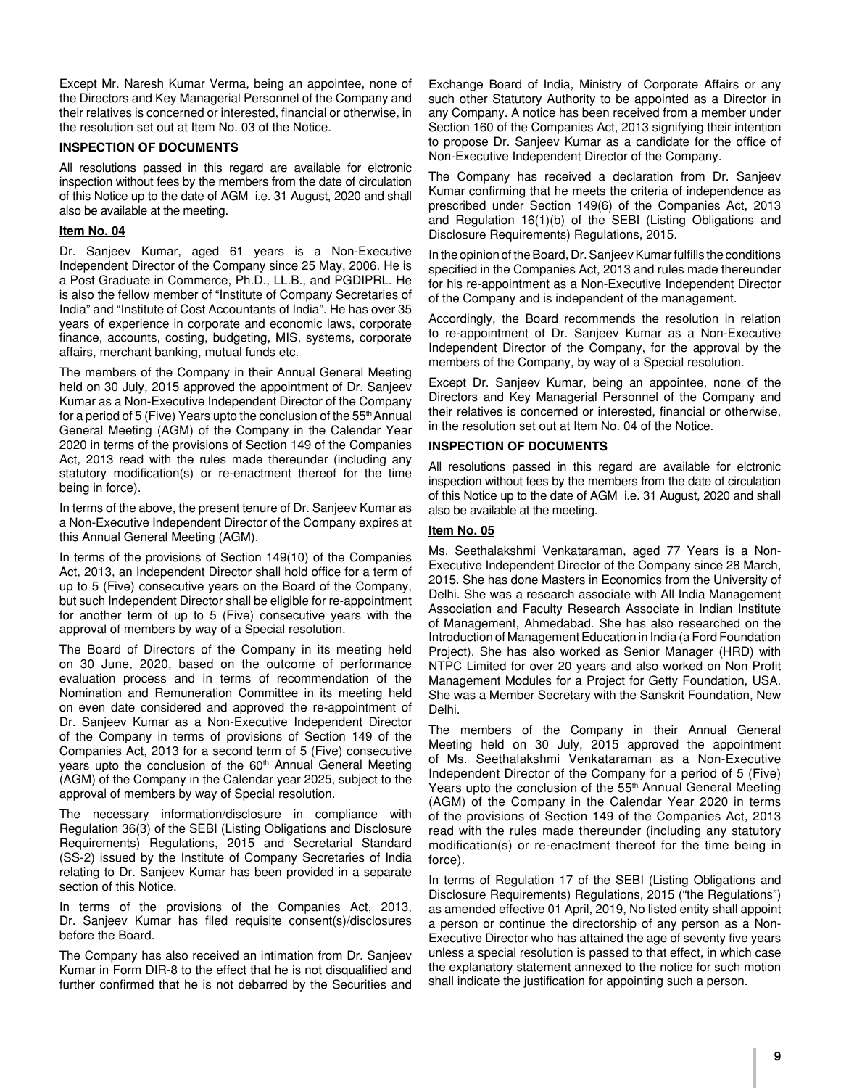Except Mr. Naresh Kumar Verma, being an appointee, none of the Directors and Key Managerial Personnel of the Company and their relatives is concerned or interested, financial or otherwise, in the resolution set out at Item No. 03 of the Notice.

## **INSPECTION OF DOCUMENTS**

All resolutions passed in this regard are available for elctronic inspection without fees by the members from the date of circulation of this Notice up to the date of AGM i.e. 31 August, 2020 and shall also be available at the meeting.

## **Item No. 04**

Dr. Sanjeev Kumar, aged 61 years is a Non-Executive Independent Director of the Company since 25 May, 2006. He is a Post Graduate in Commerce, Ph.D., LL.B., and PGDIPRL. He is also the fellow member of "Institute of Company Secretaries of India" and "Institute of Cost Accountants of India". He has over 35 years of experience in corporate and economic laws, corporate finance, accounts, costing, budgeting, MIS, systems, corporate affairs, merchant banking, mutual funds etc.

The members of the Company in their Annual General Meeting held on 30 July, 2015 approved the appointment of Dr. Sanjeev Kumar as a Non-Executive Independent Director of the Company for a period of 5 (Five) Years upto the conclusion of the 55<sup>th</sup> Annual General Meeting (AGM) of the Company in the Calendar Year 2020 in terms of the provisions of Section 149 of the Companies Act, 2013 read with the rules made thereunder (including any statutory modification(s) or re-enactment thereof for the time being in force).

In terms of the above, the present tenure of Dr. Sanjeev Kumar as a Non-Executive Independent Director of the Company expires at this Annual General Meeting (AGM).

In terms of the provisions of Section 149(10) of the Companies Act, 2013, an Independent Director shall hold office for a term of up to 5 (Five) consecutive years on the Board of the Company, but such Independent Director shall be eligible for re-appointment for another term of up to 5 (Five) consecutive years with the approval of members by way of a Special resolution.

The Board of Directors of the Company in its meeting held on 30 June, 2020, based on the outcome of performance evaluation process and in terms of recommendation of the Nomination and Remuneration Committee in its meeting held on even date considered and approved the re-appointment of Dr. Sanjeev Kumar as a Non-Executive Independent Director of the Company in terms of provisions of Section 149 of the Companies Act, 2013 for a second term of 5 (Five) consecutive years upto the conclusion of the 60<sup>th</sup> Annual General Meeting (AGM) of the Company in the Calendar year 2025, subject to the approval of members by way of Special resolution.

The necessary information/disclosure in compliance with Regulation 36(3) of the SEBI (Listing Obligations and Disclosure Requirements) Regulations, 2015 and Secretarial Standard (SS-2) issued by the Institute of Company Secretaries of India relating to Dr. Sanjeev Kumar has been provided in a separate section of this Notice.

In terms of the provisions of the Companies Act, 2013, Dr. Sanjeev Kumar has filed requisite consent(s)/disclosures before the Board.

The Company has also received an intimation from Dr. Sanjeev Kumar in Form DIR-8 to the effect that he is not disqualified and further confirmed that he is not debarred by the Securities and

Exchange Board of India, Ministry of Corporate Affairs or any such other Statutory Authority to be appointed as a Director in any Company. A notice has been received from a member under Section 160 of the Companies Act, 2013 signifying their intention to propose Dr. Sanjeev Kumar as a candidate for the office of Non-Executive Independent Director of the Company.

The Company has received a declaration from Dr. Sanjeev Kumar confirming that he meets the criteria of independence as prescribed under Section 149(6) of the Companies Act, 2013 and Regulation 16(1)(b) of the SEBI (Listing Obligations and Disclosure Requirements) Regulations, 2015.

In the opinion of the Board, Dr. Sanjeev Kumar fulfills the conditions specified in the Companies Act, 2013 and rules made thereunder for his re-appointment as a Non-Executive Independent Director of the Company and is independent of the management.

Accordingly, the Board recommends the resolution in relation to re-appointment of Dr. Sanjeev Kumar as a Non-Executive Independent Director of the Company, for the approval by the members of the Company, by way of a Special resolution.

Except Dr. Sanjeev Kumar, being an appointee, none of the Directors and Key Managerial Personnel of the Company and their relatives is concerned or interested, financial or otherwise, in the resolution set out at Item No. 04 of the Notice.

## **INSPECTION OF DOCUMENTS**

All resolutions passed in this regard are available for elctronic inspection without fees by the members from the date of circulation of this Notice up to the date of AGM i.e. 31 August, 2020 and shall also be available at the meeting.

## **Item No. 05**

Ms. Seethalakshmi Venkataraman, aged 77 Years is a Non-Executive Independent Director of the Company since 28 March, 2015. She has done Masters in Economics from the University of Delhi. She was a research associate with All India Management Association and Faculty Research Associate in Indian Institute of Management, Ahmedabad. She has also researched on the Introduction of Management Education in India (a Ford Foundation Project). She has also worked as Senior Manager (HRD) with NTPC Limited for over 20 years and also worked on Non Profit Management Modules for a Project for Getty Foundation, USA. She was a Member Secretary with the Sanskrit Foundation, New Delhi.

The members of the Company in their Annual General Meeting held on 30 July, 2015 approved the appointment of Ms. Seethalakshmi Venkataraman as a Non-Executive Independent Director of the Company for a period of 5 (Five) Years upto the conclusion of the 55<sup>th</sup> Annual General Meeting (AGM) of the Company in the Calendar Year 2020 in terms of the provisions of Section 149 of the Companies Act, 2013 read with the rules made thereunder (including any statutory modification(s) or re-enactment thereof for the time being in force).

In terms of Regulation 17 of the SEBI (Listing Obligations and Disclosure Requirements) Regulations, 2015 ("the Regulations") as amended effective 01 April, 2019, No listed entity shall appoint a person or continue the directorship of any person as a Non-Executive Director who has attained the age of seventy five years unless a special resolution is passed to that effect, in which case the explanatory statement annexed to the notice for such motion shall indicate the justification for appointing such a person.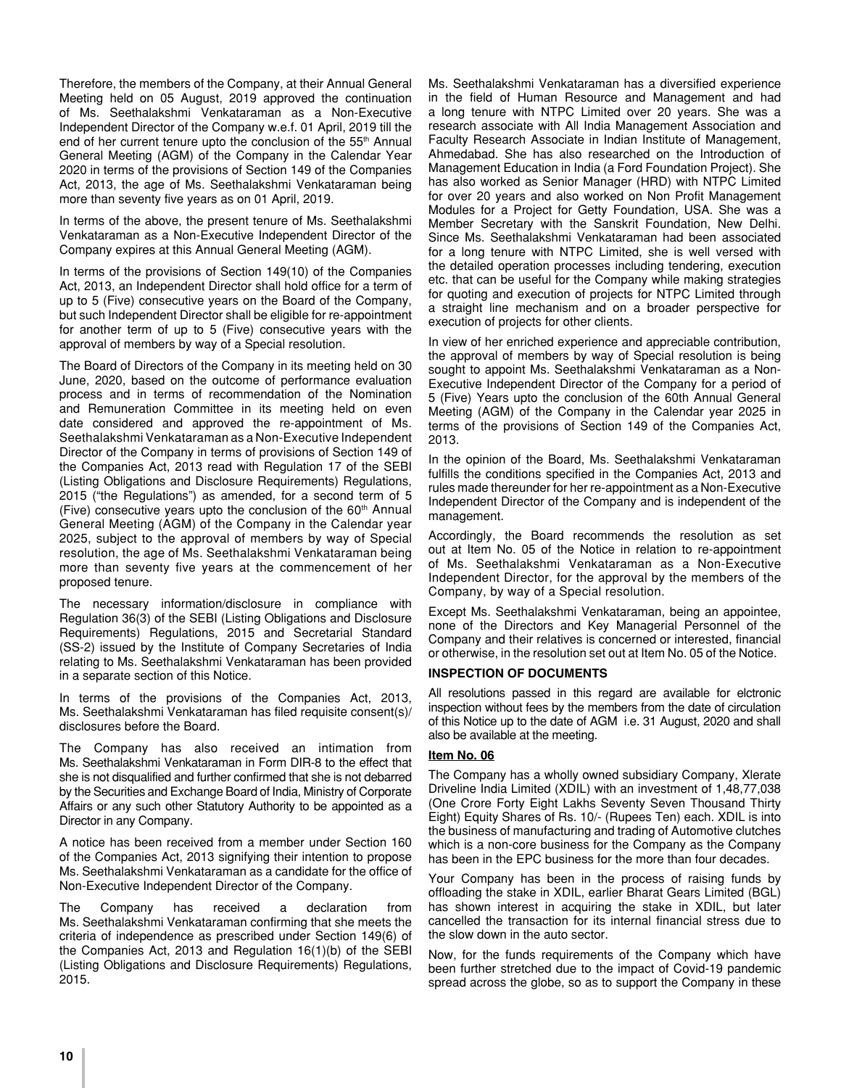Therefore, the members of the Company, at their Annual General Meeting held on 05 August, 2019 approved the continuation of Ms. Seethalakshmi Venkataraman as a Non-Executive Independent Director of the Company w.e.f. 01 April, 2019 till the end of her current tenure upto the conclusion of the 55<sup>th</sup> Annual General Meeting (AGM) of the Company in the Calendar Year 2020 in terms of the provisions of Section 149 of the Companies Act, 2013, the age of Ms. Seethalakshmi Venkataraman being more than seventy five years as on 01 April, 2019.

In terms of the above, the present tenure of Ms. Seethalakshmi Venkataraman as a Non-Executive Independent Director of the Company expires at this Annual General Meeting (AGM).

In terms of the provisions of Section 149(10) of the Companies Act, 2013, an Independent Director shall hold office for a term of up to 5 (Five) consecutive years on the Board of the Company, but such Independent Director shall be eligible for re-appointment for another term of up to 5 (Five) consecutive years with the approval of members by way of a Special resolution.

The Board of Directors of the Company in its meeting held on 30 June, 2020, based on the outcome of performance evaluation process and in terms of recommendation of the Nomination and Remuneration Committee in its meeting held on even date considered and approved the re-appointment of Ms. Seethalakshmi Venkataraman as a Non-Executive Independent Director of the Company in terms of provisions of Section 149 of the Companies Act, 2013 read with Regulation 17 of the SEBI (Listing Obligations and Disclosure Requirements) Regulations, 2015 ("the Regulations") as amended, for a second term of 5 (Five) consecutive years upto the conclusion of the  $60<sup>th</sup>$  Annual General Meeting (AGM) of the Company in the Calendar year 2025, subject to the approval of members by way of Special resolution, the age of Ms. Seethalakshmi Venkataraman being more than seventy five years at the commencement of her proposed tenure.

The necessary information/disclosure in compliance with Regulation 36(3) of the SEBI (Listing Obligations and Disclosure Requirements) Regulations, 2015 and Secretarial Standard (SS-2) issued by the Institute of Company Secretaries of India relating to Ms. Seethalakshmi Venkataraman has been provided in a separate section of this Notice.

In terms of the provisions of the Companies Act, 2013, Ms. Seethalakshmi Venkataraman has filed requisite consent(s)/ disclosures before the Board.

The Company has also received an intimation from Ms. Seethalakshmi Venkataraman in Form DIR-8 to the effect that she is not disqualified and further confirmed that she is not debarred by the Securities and Exchange Board of India, Ministry of Corporate Affairs or any such other Statutory Authority to be appointed as a Director in any Company.

A notice has been received from a member under Section 160 of the Companies Act, 2013 signifying their intention to propose Ms. Seethalakshmi Venkataraman as a candidate for the office of Non-Executive Independent Director of the Company.

The Company has received a declaration from Ms. Seethalakshmi Venkataraman confirming that she meets the criteria of independence as prescribed under Section 149(6) of the Companies Act, 2013 and Regulation 16(1)(b) of the SEBI (Listing Obligations and Disclosure Requirements) Regulations, 2015.

Ms. Seethalakshmi Venkataraman has a diversified experience in the field of Human Resource and Management and had a long tenure with NTPC Limited over 20 years. She was a research associate with All India Management Association and Faculty Research Associate in Indian Institute of Management, Ahmedabad. She has also researched on the Introduction of Management Education in India (a Ford Foundation Project). She has also worked as Senior Manager (HRD) with NTPC Limited for over 20 years and also worked on Non Profit Management Modules for a Project for Getty Foundation, USA. She was a Member Secretary with the Sanskrit Foundation, New Delhi. Since Ms. Seethalakshmi Venkataraman had been associated for a long tenure with NTPC Limited, she is well versed with the detailed operation processes including tendering, execution etc. that can be useful for the Company while making strategies for quoting and execution of projects for NTPC Limited through a straight line mechanism and on a broader perspective for execution of projects for other clients.

In view of her enriched experience and appreciable contribution, the approval of members by way of Special resolution is being sought to appoint Ms. Seethalakshmi Venkataraman as a Non-Executive Independent Director of the Company for a period of 5 (Five) Years upto the conclusion of the 60th Annual General Meeting (AGM) of the Company in the Calendar year 2025 in terms of the provisions of Section 149 of the Companies Act, 2013.

In the opinion of the Board, Ms. Seethalakshmi Venkataraman fulfills the conditions specified in the Companies Act, 2013 and rules made thereunder for her re-appointment as a Non-Executive Independent Director of the Company and is independent of the management.

Accordingly, the Board recommends the resolution as set out at Item No. 05 of the Notice in relation to re-appointment of Ms. Seethalakshmi Venkataraman as a Non-Executive Independent Director, for the approval by the members of the Company, by way of a Special resolution.

Except Ms. Seethalakshmi Venkataraman, being an appointee, none of the Directors and Key Managerial Personnel of the Company and their relatives is concerned or interested, financial or otherwise, in the resolution set out at Item No. 05 of the Notice.

## **INSPECTION OF DOCUMENTS**

All resolutions passed in this regard are available for elctronic inspection without fees by the members from the date of circulation of this Notice up to the date of AGM i.e. 31 August, 2020 and shall also be available at the meeting.

## **Item No. 06**

The Company has a wholly owned subsidiary Company, Xlerate Driveline India Limited (XDIL) with an investment of 1,48,77,038 (One Crore Forty Eight Lakhs Seventy Seven Thousand Thirty Eight) Equity Shares of Rs. 10/- (Rupees Ten) each. XDIL is into the business of manufacturing and trading of Automotive clutches which is a non-core business for the Company as the Company has been in the EPC business for the more than four decades.

Your Company has been in the process of raising funds by offloading the stake in XDIL, earlier Bharat Gears Limited (BGL) has shown interest in acquiring the stake in XDIL, but later cancelled the transaction for its internal financial stress due to the slow down in the auto sector.

Now, for the funds requirements of the Company which have been further stretched due to the impact of Covid-19 pandemic spread across the globe, so as to support the Company in these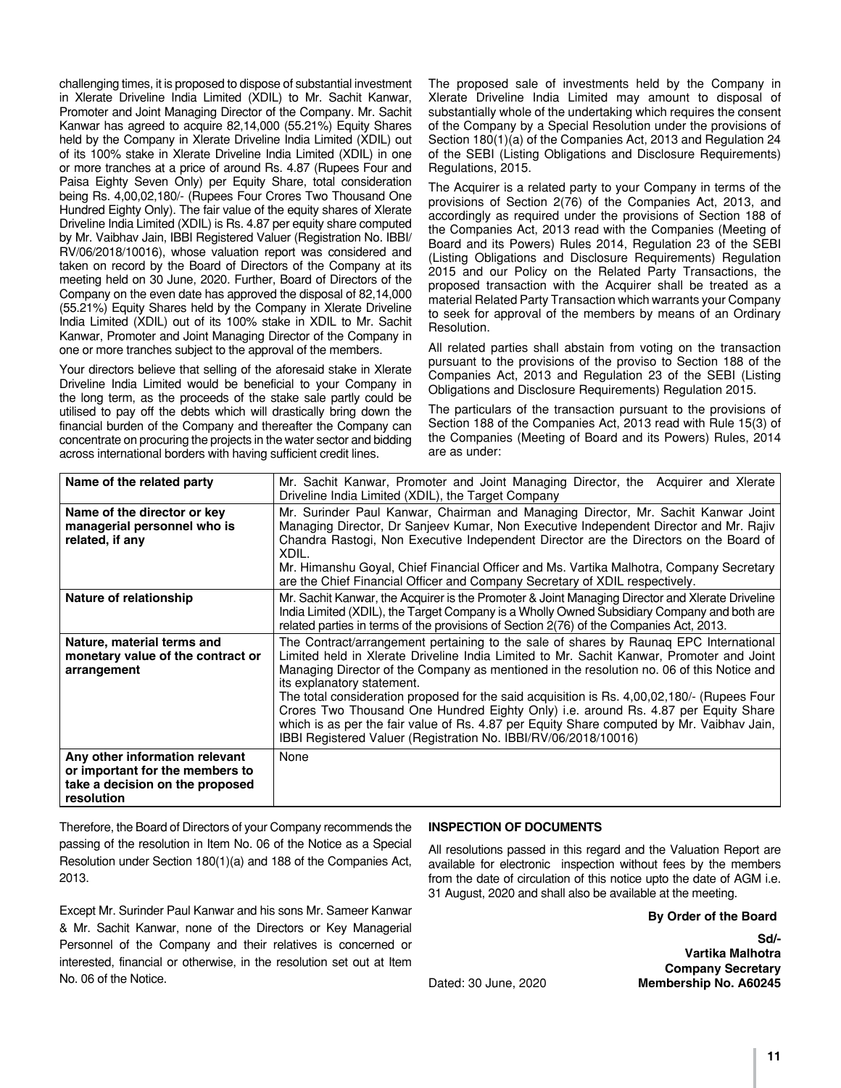challenging times, it is proposed to dispose of substantial investment in Xlerate Driveline India Limited (XDIL) to Mr. Sachit Kanwar, Promoter and Joint Managing Director of the Company. Mr. Sachit Kanwar has agreed to acquire 82,14,000 (55.21%) Equity Shares held by the Company in Xlerate Driveline India Limited (XDIL) out of its 100% stake in Xlerate Driveline India Limited (XDIL) in one or more tranches at a price of around Rs. 4.87 (Rupees Four and Paisa Eighty Seven Only) per Equity Share, total consideration being Rs. 4,00,02,180/- (Rupees Four Crores Two Thousand One Hundred Eighty Only). The fair value of the equity shares of Xlerate Driveline India Limited (XDIL) is Rs. 4.87 per equity share computed by Mr. Vaibhav Jain, IBBI Registered Valuer (Registration No. IBBI/ RV/06/2018/10016), whose valuation report was considered and taken on record by the Board of Directors of the Company at its meeting held on 30 June, 2020. Further, Board of Directors of the Company on the even date has approved the disposal of 82,14,000 (55.21%) Equity Shares held by the Company in Xlerate Driveline India Limited (XDIL) out of its 100% stake in XDIL to Mr. Sachit Kanwar, Promoter and Joint Managing Director of the Company in one or more tranches subject to the approval of the members.

Your directors believe that selling of the aforesaid stake in Xlerate Driveline India Limited would be beneficial to your Company in the long term, as the proceeds of the stake sale partly could be utilised to pay off the debts which will drastically bring down the financial burden of the Company and thereafter the Company can concentrate on procuring the projects in the water sector and bidding across international borders with having sufficient credit lines.

The proposed sale of investments held by the Company in Xlerate Driveline India Limited may amount to disposal of substantially whole of the undertaking which requires the consent of the Company by a Special Resolution under the provisions of Section 180(1)(a) of the Companies Act, 2013 and Regulation 24 of the SEBI (Listing Obligations and Disclosure Requirements) Regulations, 2015.

The Acquirer is a related party to your Company in terms of the provisions of Section 2(76) of the Companies Act, 2013, and accordingly as required under the provisions of Section 188 of the Companies Act, 2013 read with the Companies (Meeting of Board and its Powers) Rules 2014, Regulation 23 of the SEBI (Listing Obligations and Disclosure Requirements) Regulation 2015 and our Policy on the Related Party Transactions, the proposed transaction with the Acquirer shall be treated as a material Related Party Transaction which warrants your Company to seek for approval of the members by means of an Ordinary Resolution.

All related parties shall abstain from voting on the transaction pursuant to the provisions of the proviso to Section 188 of the Companies Act, 2013 and Regulation 23 of the SEBI (Listing Obligations and Disclosure Requirements) Regulation 2015.

The particulars of the transaction pursuant to the provisions of Section 188 of the Companies Act, 2013 read with Rule 15(3) of the Companies (Meeting of Board and its Powers) Rules, 2014 are as under:

| Name of the related party                                                                                          | Mr. Sachit Kanwar, Promoter and Joint Managing Director, the Acquirer and Xlerate<br>Driveline India Limited (XDIL), the Target Company                                                                                                                                                                                                                                                                                                                                                                                                                                                                                                                           |  |  |  |
|--------------------------------------------------------------------------------------------------------------------|-------------------------------------------------------------------------------------------------------------------------------------------------------------------------------------------------------------------------------------------------------------------------------------------------------------------------------------------------------------------------------------------------------------------------------------------------------------------------------------------------------------------------------------------------------------------------------------------------------------------------------------------------------------------|--|--|--|
| Name of the director or key<br>managerial personnel who is<br>related, if any                                      | Mr. Surinder Paul Kanwar, Chairman and Managing Director, Mr. Sachit Kanwar Joint<br>Managing Director, Dr Sanjeev Kumar, Non Executive Independent Director and Mr. Rajiv<br>Chandra Rastogi, Non Executive Independent Director are the Directors on the Board of<br>XDIL.<br>Mr. Himanshu Goyal, Chief Financial Officer and Ms. Vartika Malhotra, Company Secretary<br>are the Chief Financial Officer and Company Secretary of XDIL respectively.                                                                                                                                                                                                            |  |  |  |
| Nature of relationship                                                                                             | Mr. Sachit Kanwar, the Acquirer is the Promoter & Joint Managing Director and Xlerate Driveline<br>India Limited (XDIL), the Target Company is a Wholly Owned Subsidiary Company and both are<br>related parties in terms of the provisions of Section 2(76) of the Companies Act, 2013.                                                                                                                                                                                                                                                                                                                                                                          |  |  |  |
| Nature, material terms and<br>monetary value of the contract or<br>arrangement                                     | The Contract/arrangement pertaining to the sale of shares by Raunag EPC International<br>Limited held in Xlerate Driveline India Limited to Mr. Sachit Kanwar, Promoter and Joint<br>Managing Director of the Company as mentioned in the resolution no. 06 of this Notice and<br>its explanatory statement.<br>The total consideration proposed for the said acquisition is Rs. 4,00,02,180/- (Rupees Four<br>Crores Two Thousand One Hundred Eighty Only) i.e. around Rs. 4.87 per Equity Share<br>which is as per the fair value of Rs. 4.87 per Equity Share computed by Mr. Vaibhav Jain,<br>IBBI Registered Valuer (Registration No. IBBI/RV/06/2018/10016) |  |  |  |
| Any other information relevant<br>or important for the members to<br>take a decision on the proposed<br>resolution | None                                                                                                                                                                                                                                                                                                                                                                                                                                                                                                                                                                                                                                                              |  |  |  |

Therefore, the Board of Directors of your Company recommends the passing of the resolution in Item No. 06 of the Notice as a Special Resolution under Section 180(1)(a) and 188 of the Companies Act, 2013.

Except Mr. Surinder Paul Kanwar and his sons Mr. Sameer Kanwar & Mr. Sachit Kanwar, none of the Directors or Key Managerial Personnel of the Company and their relatives is concerned or interested, financial or otherwise, in the resolution set out at Item No. 06 of the Notice.

#### **INSPECTION OF DOCUMENTS**

All resolutions passed in this regard and the Valuation Report are available for electronic inspection without fees by the members from the date of circulation of this notice upto the date of AGM i.e. 31 August, 2020 and shall also be available at the meeting.

**By Order of the Board**

**Sd/- Vartika Malhotra Company Secretary** Dated: 30 June, 2020 **Membership No. A60245**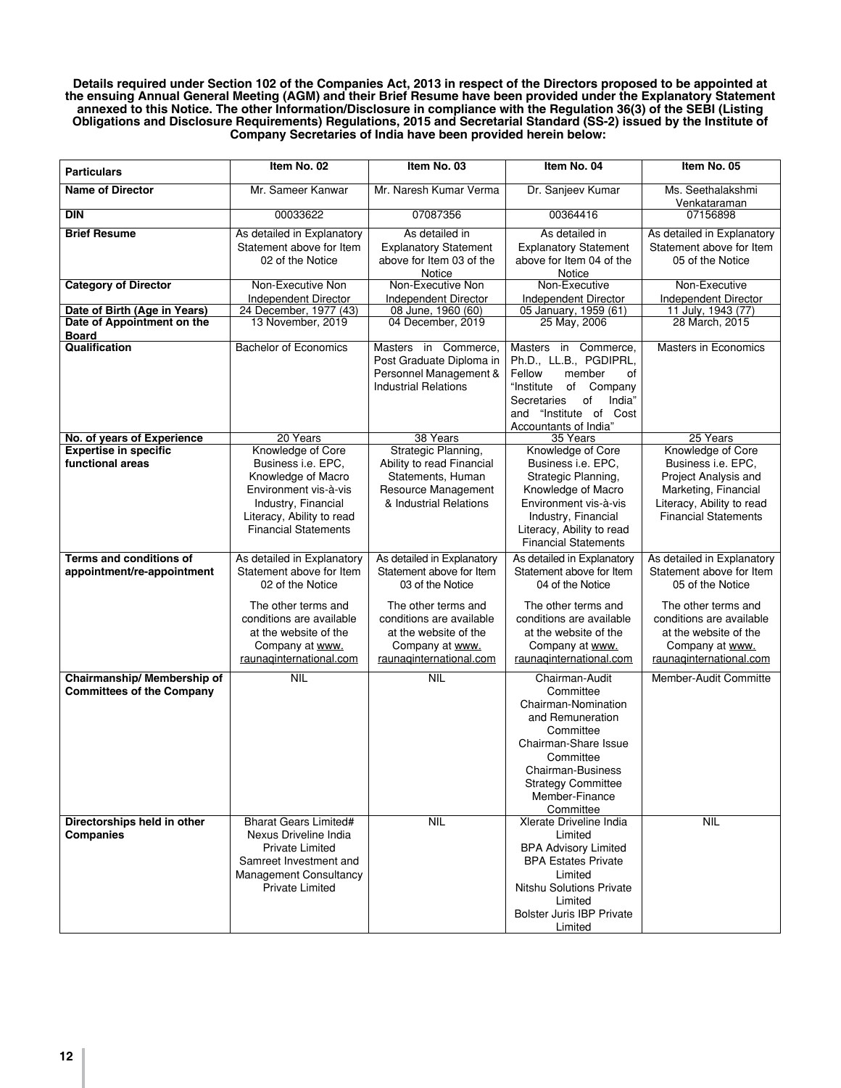**Details required under Section 102 of the Companies Act, 2013 in respect of the Directors proposed to be appointed at the ensuing Annual General Meeting (AGM) and their Brief Resume have been provided under the Explanatory Statement annexed to this Notice. The other Information/Disclosure in compliance with the Regulation 36(3) of the SEBI (Listing Obligations and Disclosure Requirements) Regulations, 2015 and Secretarial Standard (SS-2) issued by the Institute of Company Secretaries of India have been provided herein below:**

| <b>Particulars</b>                         | Item No. 02                                 | Item No. 03                             | Item No. 04                           | Item No. 05                          |
|--------------------------------------------|---------------------------------------------|-----------------------------------------|---------------------------------------|--------------------------------------|
| <b>Name of Director</b>                    | Mr. Sameer Kanwar                           | Mr. Naresh Kumar Verma                  | Dr. Sanjeev Kumar                     | Ms. Seethalakshmi                    |
|                                            |                                             |                                         |                                       | Venkataraman                         |
| <b>DIN</b>                                 | 00033622                                    | 07087356                                | 00364416                              | 07156898                             |
| <b>Brief Resume</b>                        | As detailed in Explanatory                  | As detailed in                          | As detailed in                        | As detailed in Explanatory           |
|                                            | Statement above for Item                    | <b>Explanatory Statement</b>            | <b>Explanatory Statement</b>          | Statement above for Item             |
|                                            |                                             | above for Item 03 of the                | above for Item 04 of the              | 05 of the Notice                     |
|                                            | 02 of the Notice                            |                                         |                                       |                                      |
|                                            |                                             | Notice                                  | Notice                                |                                      |
| <b>Category of Director</b>                | Non-Executive Non                           | Non-Executive Non                       | Non-Executive                         | Non-Executive                        |
|                                            | <b>Independent Director</b>                 | Independent Director                    | <b>Independent Director</b>           | Independent Director                 |
| Date of Birth (Age in Years)               | 24 December, 1977 (43)<br>13 November, 2019 | 08 June, 1960 (60)<br>04 December, 2019 | 05 January, 1959 (61)<br>25 May, 2006 | 11 July, 1943 (77)<br>28 March, 2015 |
| Date of Appointment on the<br><b>Board</b> |                                             |                                         |                                       |                                      |
| Qualification                              | <b>Bachelor of Economics</b>                |                                         | Masters in Commerce,                  | <b>Masters in Economics</b>          |
|                                            |                                             | Masters in Commerce,                    |                                       |                                      |
|                                            |                                             | Post Graduate Diploma in                | Ph.D., LL.B., PGDIPRL,                |                                      |
|                                            |                                             | Personnel Management &                  | Fellow<br>member<br>οf                |                                      |
|                                            |                                             | <b>Industrial Relations</b>             | "Institute<br>of Company              |                                      |
|                                            |                                             |                                         | Secretaries<br>of<br>India"           |                                      |
|                                            |                                             |                                         | and "Institute of<br>Cost             |                                      |
|                                            |                                             |                                         | Accountants of India"                 |                                      |
| No. of years of Experience                 | 20 Years                                    | 38 Years                                | 35 Years                              | 25 Years                             |
| <b>Expertise in specific</b>               | Knowledge of Core                           | Strategic Planning,                     | Knowledge of Core                     | Knowledge of Core                    |
| functional areas                           | Business i.e. EPC,                          | Ability to read Financial               | Business i.e. EPC,                    | Business i.e. EPC.                   |
|                                            | Knowledge of Macro                          | Statements, Human                       | Strategic Planning,                   | Project Analysis and                 |
|                                            | Environment vis-à-vis                       | Resource Management                     | Knowledge of Macro                    | Marketing, Financial                 |
|                                            | Industry, Financial                         | & Industrial Relations                  | Environment vis-à-vis                 | Literacy, Ability to read            |
|                                            | Literacy, Ability to read                   |                                         | Industry, Financial                   | <b>Financial Statements</b>          |
|                                            | <b>Financial Statements</b>                 |                                         | Literacy, Ability to read             |                                      |
|                                            |                                             |                                         | <b>Financial Statements</b>           |                                      |
| <b>Terms and conditions of</b>             | As detailed in Explanatory                  | As detailed in Explanatory              | As detailed in Explanatory            | As detailed in Explanatory           |
| appointment/re-appointment                 | Statement above for Item                    | Statement above for Item                | Statement above for Item              | Statement above for Item             |
|                                            | 02 of the Notice                            | 03 of the Notice                        | 04 of the Notice                      | 05 of the Notice                     |
|                                            |                                             |                                         |                                       |                                      |
|                                            | The other terms and                         | The other terms and                     | The other terms and                   | The other terms and                  |
|                                            | conditions are available                    | conditions are available                | conditions are available              | conditions are available             |
|                                            | at the website of the                       | at the website of the                   | at the website of the                 | at the website of the                |
|                                            | Company at www.                             | Company at www.                         | Company at www.                       | Company at www.                      |
|                                            | raunaginternational.com                     | raunaginternational.com                 | raunaginternational.com               | raunaginternational.com              |
| Chairmanship/ Membership of                | <b>NIL</b>                                  | <b>NIL</b>                              | Chairman-Audit                        | Member-Audit Committe                |
| <b>Committees of the Company</b>           |                                             |                                         | Committee                             |                                      |
|                                            |                                             |                                         |                                       |                                      |
|                                            |                                             |                                         | Chairman-Nomination                   |                                      |
|                                            |                                             |                                         | and Remuneration                      |                                      |
|                                            |                                             |                                         | Committee                             |                                      |
|                                            |                                             |                                         | Chairman-Share Issue                  |                                      |
|                                            |                                             |                                         | Committee                             |                                      |
|                                            |                                             |                                         | Chairman-Business                     |                                      |
|                                            |                                             |                                         | <b>Strategy Committee</b>             |                                      |
|                                            |                                             |                                         | Member-Finance                        |                                      |
|                                            |                                             |                                         | Committee                             |                                      |
| Directorships held in other                | <b>Bharat Gears Limited#</b>                | <b>NIL</b>                              | Xlerate Driveline India               | <b>NIL</b>                           |
| <b>Companies</b>                           | Nexus Driveline India                       |                                         | Limited                               |                                      |
|                                            | <b>Private Limited</b>                      |                                         | <b>BPA Advisory Limited</b>           |                                      |
|                                            | Samreet Investment and                      |                                         | <b>BPA Estates Private</b>            |                                      |
|                                            | Management Consultancy                      |                                         | Limited                               |                                      |
|                                            | <b>Private Limited</b>                      |                                         | <b>Nitshu Solutions Private</b>       |                                      |
|                                            |                                             |                                         | I imited                              |                                      |
|                                            |                                             |                                         | <b>Bolster Juris IBP Private</b>      |                                      |
|                                            |                                             |                                         | Limited                               |                                      |